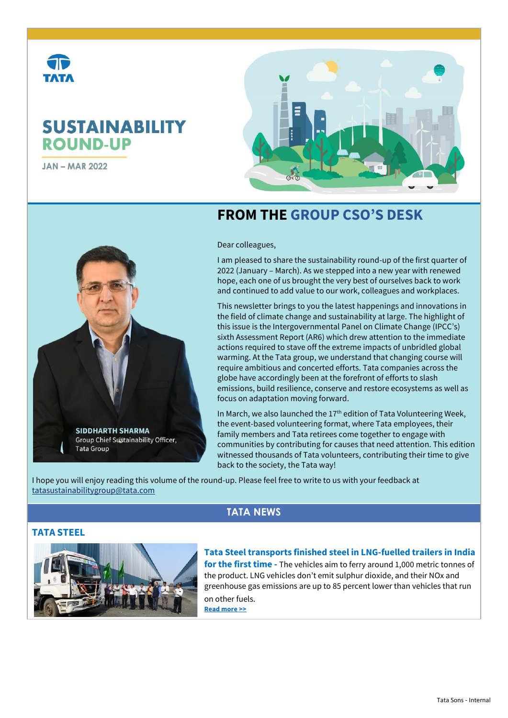# **SUSTAINABILITY ROUND-UP**

**JAN-MAR 2022** 



# **FROM THE GROUP CSO'S DESK**

Dear colleagues,

I am pleased to share the sustainability round-up of the first quarter of 2022 (January – March). As we stepped into a new year with renewed hope, each one of us brought the very best of ourselves back to work and continued to add value to our work, colleagues and workplaces.

This newsletter brings to you the latest happenings and innovations in the field of climate change and sustainability at large. The highlight of this issue is the Intergovernmental Panel on Climate Change (IPCC's) sixth Assessment Report (AR6) which drew attention to the immediate actions required to stave off the extreme impacts of unbridled global warming. At the Tata group, we understand that changing course will require ambitious and concerted efforts. Tata companies across the globe have accordingly been at the forefront of efforts to slash emissions, build resilience, conserve and restore ecosystems as well as focus on adaptation moving forward.

In March, we also launched the 17<sup>th</sup> edition of Tata Volunteering Week, the event-based volunteering format, where Tata employees, their family members and Tata retirees come together to engage with communities by contributing for causes that need attention. This edition witnessed thousands of Tata volunteers, contributing their time to give back to the society, the Tata way!

I hope you will enjoy reading this volume of the round-up. Please feel free to write to us with your feedback at [tatasustainabilitygroup@tata.com](mailto:tatasustainabilitygroup@tata.com)

# **TATA NEWS**

### **TATA STEEL**



**SIDDHARTH SHARMA Group Chief Sustainability Officer,** 

**Tata Group** 

**Tata Steel transports finished steel in LNG-fuelled trailers in India for the first time -** The vehicles aim to ferry around 1,000 metric tonnes of the product. LNG vehicles don't emit sulphur dioxide, and their NOx and greenhouse gas emissions are up to 85 percent lower than vehicles that run on other fuels. **[Read more >>](https://www.tataworld.com/news/openinside/Tata-Steel-transports-finished-steel-in-LNG-fuelled-trailers-in-India-for-the-first-time)**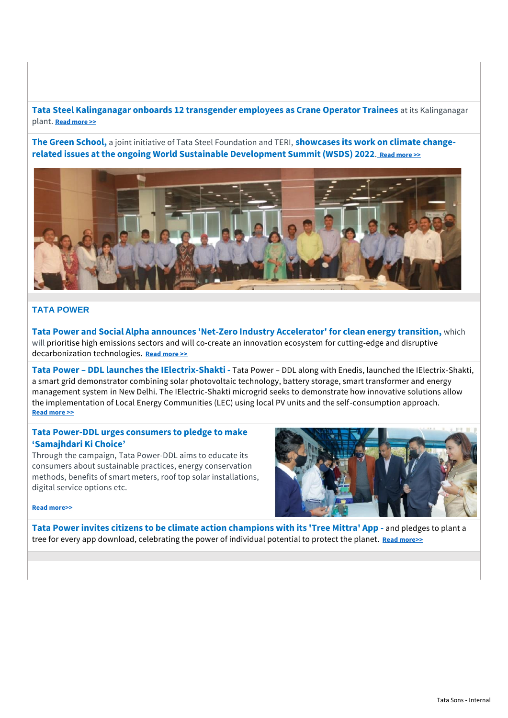**Tata Steel Kalinganagar onboards 12 transgender employees as Crane Operator Trainees** at its Kalinganagar plant. **[Read more >>](https://www.tataworld.com/news/openinside/Tata-Steel-Kalinganagar-onboards-12-transgender-employees-as-Crane-Operator-Trainees)**

**The Green School,** a joint initiative of Tata Steel Foundation and TERI, **showcases its work on climate changerelated issues at the ongoing World Sustainable Development Summit (WSDS) 2022**[.](https://www.tataworld.com/news/inside/Tata-Steel-Foundations-The-Green-School-showcases-its-milestones-on-the-climate-change) **[Read more >>](https://www.tataworld.com/news/inside/Tata-Steel-Foundations-The-Green-School-showcases-its-milestones-on-the-climate-change)**



#### **TATA POWER**

**Tata Power and Social Alpha announces 'Net-Zero Industry Accelerator' for clean energy transition,** which will prioritise high emissions sectors and will co-create an innovation ecosystem for cutting-edge and disruptive decarbonization technologies. **[Read more >>](https://www.tataworld.com/news/inside/Tata-Power-and-Social-Alpha-announce-Net-Zero-Industry-Accelerator-for-clean-energy-transition)**

**Tata Power – DDL launches the IElectrix-Shakti -** Tata Power – DDL along with Enedis, launched the IElectrix-Shakti, a smart grid demonstrator combining solar photovoltaic technology, battery storage, smart transformer and energy management system in New Delhi. The IElectric-Shakti microgrid seeks to demonstrate how innovative solutions allow the implementation of Local Energy Communities (LEC) using local PV units and the self-consumption approach. **[Read more >>](https://www.tataworld.com/news/openinside/Launch-event-of-IElectrix-Shakti)**

#### **Tata Power-DDL urges consumers to pledge to make 'Samajhdari Ki Choice'**

Through the campaign, Tata Power-DDL aims to educate its consumers about sustainable practices, energy conservation methods, benefits of smart meters, roof top solar installations, digital service options etc.



#### **[Read more>>](https://www.tataworld.com/news/openinside/Republic-Day-Special-Tata-Power-DDL-urges-consumers)**

**Tata Power invites citizens to be climate action champions with its 'Tree Mittra' App -** and pledges to plant a tree for every app download, celebrating the power of individual potential to protect the planet. **[Read more>>](https://www.tataworld.com/news/openinside/Tata-Power-invites-citizens-to-be-climate-action-champions-with-its-Tree-Mittra-App)**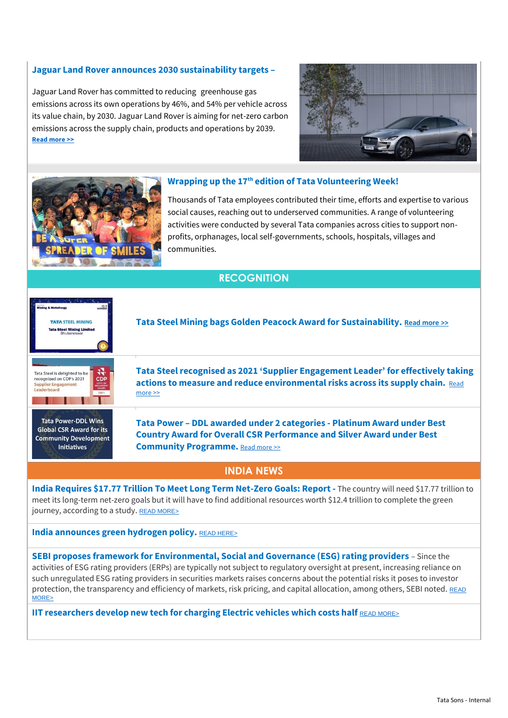#### **Jaguar Land Rover announces 2030 sustainability targets –**

Jaguar Land Rover has committed to reducing greenhouse gas emissions across its own operations by 46%, and 54% per vehicle across its value chain, by 2030. Jaguar Land Rover is aiming for net-zero carbon emissions across the supply chain, products and operations by 2039. **[Read more >>](https://www.tataworld.com/news/inside/Jaguar-Land-Rover-announces-2030-sustainability-targets)**





#### **Wrapping up the 17th edition of Tata Volunteering Week!**

Thousands of Tata employees contributed their time, efforts and expertise to various social causes, reaching out to underserved communities. A range of volunteering activities were conducted by several Tata companies across cities to support nonprofits, orphanages, local self-governments, schools, hospitals, villages and communities.

# **RECOGNITION**



**Tata Steel Mining bags Golden Peacock Award for Sustainability. [Read more >>](https://www.thestatesman.com/cities/bhubaneshwar/tata-steel-mining-bags-golden-peacock-award-sustainability-1503054612.html)**



**Tata Power-DDL Wins Global CSR Award for its Community Development Initiatives** 

**Tata Steel recognised as 2021 'Supplier Engagement Leader' for effectively taking actions to measure and reduce environmental risks across its supply chain.** [Read](https://www.tataworld.com/news/openinside/Tata-Steel-recognised-as-2021-Supplier-Engagement-Leader-for-effectively-taking-actions)  [more >>](https://www.tataworld.com/news/openinside/Tata-Steel-recognised-as-2021-Supplier-Engagement-Leader-for-effectively-taking-actions)

**Tata Power – DDL awarded under 2 categories - Platinum Award under Best Country Award for Overall CSR Performance and Silver Award under Best Community Programme.** [Read more >>](https://www.tataworld.com/news/openinside/Tata-Power-DDL-receives-prestigious-Global-CSR-Award-for-community)

#### **INDIA NEWS**

**India Requires \$17.77 Trillion To Meet Long Term Net-Zero Goals: Report -** The country will need \$17.77 trillion to meet its long-term net-zero goals but it will have to find additional resources worth \$12.4 trillion to complete the green journey, according to a study. [READ MORE>](https://www.esgtoday.com/chemical-giant-basf-to-offer-net-zero-products-to-lower-customers-product-carbon-footprint/)

#### **India announces green hydrogen policy. [READ HERE>](https://powermin.gov.in/sites/default/files/Green_Hydrogen_Policy.pdf)**

**SEBI proposes framework for Environmental, Social and Governance (ESG) rating providers** – Since the activities of ESG rating providers (ERPs) are typically not subject to regulatory oversight at present, increasing reliance on such unregulated ESG rating providers in securities markets raises concerns about the potential risks it poses to investor protection, the transparency and efficiency of markets, risk pricing, and capital allocation, among others, SEBI noted. READ [MORE>](https://economictimes.indiatimes.com/markets/stocks/news/sebi-extends-deadline-to-submit-public-comment-on-proposed-framework-to-regulate-esg-rating-providers/articleshow/90150297.cms)

**IIT researchers develop new tech for charging Electric vehicles which costs half** [READ MORE>](https://energy.economictimes.indiatimes.com/news/power/iit-researchers-develop-new-tech-for-charging-electric-vehicles-which-costs-half-the-current-one/89083592)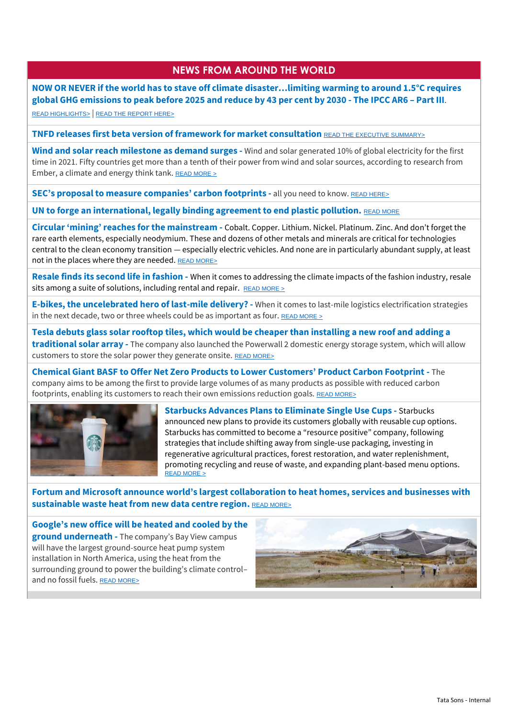## **NEWS FROM AROUND THE WORLD**

**NOW OR NEVER if the world has to stave off climate disaster…limiting warming to around 1.5°C requires global GHG emissions to peak before 2025 and reduce by 43 per cent by 2030 - The IPCC AR6 – Part III**.

[READ HIGHLIGHTS>](https://www.theguardian.com/environment/2022/apr/04/ipcc-report-now-or-never-if-world-stave-off-climate-disaster) | [READ THE REPORT HERE>](https://www.ipcc.ch/report/ar6/wg3/)

**TNFD releases first beta version of framework for market consultation** [READ THE EXECUTIVE SUMMARY>](https://tnfd.global/wp-content/uploads/2022/03/220321-TNFD-framework-beta-v0.1-Exec-Summary-FINAL.pdf)

**Wind and solar reach milestone as demand surges -** Wind and solar generated 10% of global electricity for the first time in 2021. Fifty countries get more than a tenth of their power from wind and solar sources, according to [research from](https://ember-climate.org/insights/research/global-electricity-review-2022/)  [Ember,](https://ember-climate.org/insights/research/global-electricity-review-2022/) a climate and energy think tank. READ MORE  $\geq$ 

**SEC's proposal to measure companies' carbon footprints -** all you need to know. [READ HERE>](https://www.bloomberg.com/news/articles/2022-03-21/five-key-takeaways-from-sec-s-proposal-for-climate-disclosures)

**UN to forge an international, legally binding agreement to end plastic pollution.** [READ MORE](https://www.unep.org/news-and-stories/press-release/historic-day-campaign-beat-plastic-pollution-nations-commit-develop)

**Circular 'mining' reaches for the mainstream -** Cobalt. Copper. Lithium. Nickel. Platinum. Zinc. And don't forget the rare earth elements, especially neodymium. These and dozens of other metals and minerals are critical for technologies central to the clean economy transition — especially electric vehicles. And none are in particularly abundant supply, at least not in the places where they are needed. [READ MORE>](https://www.greenbiz.com/article/circular-mining-reaches-mainstream)

**Resale finds its second life in fashion -** When it comes to addressing the climate impacts of the fashion industry, resale sits among a suite of solutions, including rental and repair. [READ MORE >](https://www.greenbiz.com/article/resale-finds-its-second-life)

**E-bikes, the uncelebrated hero of last-mile delivery? -** When it comes to last-mile logistics electrification strategies in the next decade, two or three wheels could be as important as four. [READ MORE >](https://www.greenbiz.com/article/e-bikes-uncelebrated-hero-last-mile-delivery)

**Tesla debuts glass solar rooftop tiles, which would be cheaper than installing a new roof and adding a traditional solar array -** The company also launched the Powerwall 2 domestic energy storage system, which will allow customers to store the solar power they generate onsite. [READ MORE>](https://www.greenbiz.com/article/tesla-debuts-sleek-glass-solar-rooftop-tiles)

**Chemical Giant BASF to Offer Net Zero Products to Lower Customers' Product Carbon Footprint -** The company aims to be among the first to provide large volumes of as many products as possible with reduced carbon footprints, enabling its customers to reach their own emissions reduction goals. [READ MORE>](https://www.esgtoday.com/chemical-giant-basf-to-offer-net-zero-products-to-lower-customers-product-carbon-footprint/)



**Starbucks Advances Plans to Eliminate Single Use Cups -** Starbucks announced new plans to provide its customers globally with reusable cup options. Starbucks has committed to [become a "resource positive" company](https://www.esgtoday.com/starbucks-sets-aggressive-sustainability-targets/), following strategies that include shifting away from single-use packaging, investing in regenerative agricultural practices, forest restoration, and water replenishment, promoting recycling and reuse of waste, and expanding plant-based menu options. [READ MORE >](https://www.esgtoday.com/starbucks-advances-plans-to-eliminate-single-use-cups/)

**Fortum and Microsoft announce world's largest collaboration to heat homes, services and businesses with sustainable waste heat from new data centre region.** [READ MORE>](https://www.fortum.com/media/2022/03/fortum-and-microsoft-announce-worlds-largest-collaboration-heat-homes-services-and-businesses-sustainable-waste-heat-new-data-centre-region)

**Google's [new office will be heated and cooled by the](https://www.fastcompany.com/40484709/googles-new-office-will-be-heated-and-cooled-by-the-ground-underneath)  [ground underneath](https://www.fastcompany.com/40484709/googles-new-office-will-be-heated-and-cooled-by-the-ground-underneath) -** The company's Bay View campus will have the largest ground-source heat pump system installation in North America, using the heat from the surrounding ground to power the building's climate control– and no fossil fuels. [READ MORE>](https://www.fastcompany.com/40484709/googles-new-office-will-be-heated-and-cooled-by-the-ground-underneath)

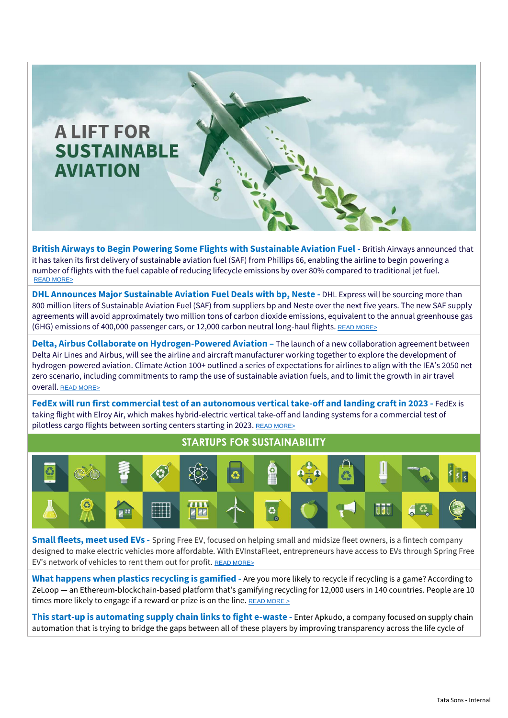

**British Airways to Begin Powering Some Flights with Sustainable Aviation Fuel -** British Airways announced that it has taken its first delivery of sustainable aviation fuel (SAF) from Phillips 66, enabling the airline to begin powering a number of flights with the fuel capable of reducing lifecycle emissions by over 80% compared to traditional jet fuel. [READ MORE>](https://www.esgtoday.com/british-airways-to-begin-powering-some-flights-with-sustainable-aviation-fuel/)

**DHL Announces Major Sustainable Aviation Fuel Deals with bp, Neste -** DHL Express will be sourcing more than 800 million liters of Sustainable Aviation Fuel (SAF) from suppliers bp and Neste over the next five years. The new SAF supply agreements will avoid approximately two million tons of carbon dioxide emissions, equivalent to the annual greenhouse gas (GHG) emissions of 400,000 passenger cars, or 12,000 carbon neutral long-haul flights. [READ MORE>](https://www.esgtoday.com/dhl-announces-major-sustainable-aviation-fuel-deals-with-bp-neste/)

**Delta, Airbus Collaborate on Hydrogen-Powered Aviation –** The launch of a new collaboration agreement between Delta Air Lines and Airbus, will see the airline and aircraft manufacturer working together to explore the development of hydrogen-powered aviation[. Climate Action 100+ outlined a series of expectations](https://www.esgtoday.com/climate-action-100-calls-for-massive-scale-up-of-sustainable-aviation-fuel-slower-air-travel-growth/) for airlines to align with the [IEA's 2050 net](https://www.esgtoday.com/iea-energy-investment-surge-to-nearly-5-trillion-needed-to-reach-net-zero-by-2050/)  [zero scenario,](https://www.esgtoday.com/iea-energy-investment-surge-to-nearly-5-trillion-needed-to-reach-net-zero-by-2050/) including commitments to ramp the use of sustainable aviation fuels, and to limit the growth in air travel overall. [READ MORE>](https://www.esgtoday.com/delta-airbus-collaborate-on-hydrogen-powered-aviation/)

**FedEx will run first commercial test of an autonomous vertical take-off and landing craft in 2023 - FedEx is** taking flight with Elroy Air, which makes hybrid-electric vertical take-off and landing systems for a commercial test of pilotless cargo flights between sorting centers starting in 2023. [READ MORE>](https://www.emergingtechbrew.com/stories/2022/03/30/fedex-will-run-first-commercial-test-of-an-autonomous-vertical-takeoff-and-landing-craft-in-2023)



**Small fleets, meet used EVs -** Spring Free EV, focused on helping small and midsize fleet owners, is a fintech company designed to make electric vehicles more affordable. With EVInstaFleet, entrepreneurs have access to EVs through Spring Free EV's network of vehicles to rent them out for profit. [READ MORE>](https://www.greenbiz.com/article/small-fleets-meet-used-evs)

**What happens when plastics recycling is gamified -** Are you more likely to recycle if recycling is a game? According to ZeLoop — an Ethereum-blockchain-based platform that's gamifying recycling for 12,000 users in 140 countries. People are 10 times more likely to engage if a reward or prize is on the line. READ MORE  $\geq$ 

**This start-up is automating supply chain links to fight e-waste -** Enter Apkudo, a company focused on supply chain automation that is trying to bridge the gaps between all of these players by improving transparency across the life cycle of